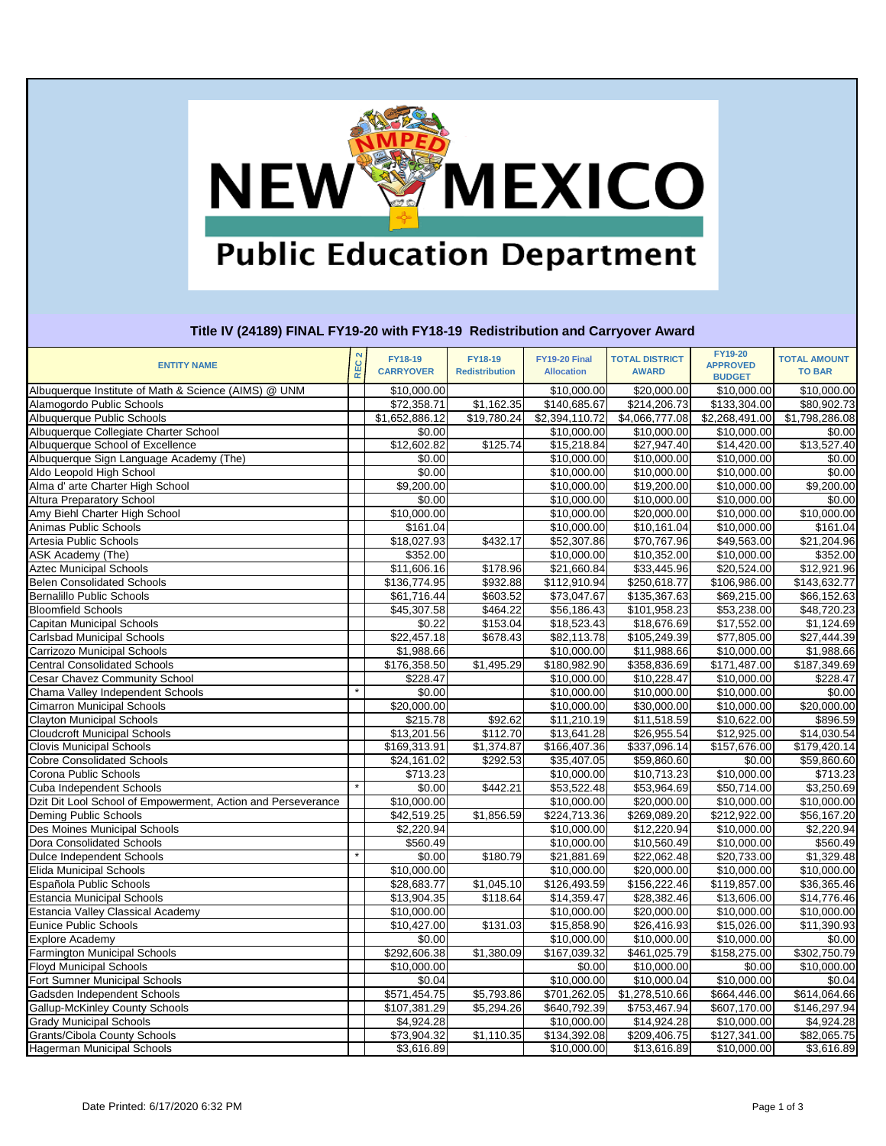### **NEW MEXICO Public Education Department**

### **Title IV (24189) FINAL FY19-20 with FY18-19 Redistribution and Carryover Award**

| <b>ENTITY NAME</b>                                                | $\boldsymbol{\alpha}$<br>REC. | <b>FY18-19</b><br><b>CARRYOVER</b> | <b>FY18-19</b><br><b>Redistribution</b> | FY19-20 Final<br><b>Allocation</b> | <b>TOTAL DISTRICT</b><br><b>AWARD</b> | <b>FY19-20</b><br><b>APPROVED</b> | <b>TOTAL AMOUNT</b><br><b>TO BAR</b> |
|-------------------------------------------------------------------|-------------------------------|------------------------------------|-----------------------------------------|------------------------------------|---------------------------------------|-----------------------------------|--------------------------------------|
| Albuquerque Institute of Math & Science (AIMS) @ UNM              |                               | \$10,000.00                        |                                         |                                    | \$20,000.00                           | <b>BUDGET</b><br>\$10,000.00      | \$10,000.00                          |
|                                                                   |                               |                                    | \$1,162.35                              | \$10,000.00                        | \$214,206.73                          |                                   |                                      |
| Alamogordo Public Schools<br>Albuquerque Public Schools           |                               | \$72,358.71                        |                                         | \$140,685.67                       | \$4,066,777.08                        | \$133,304.00                      | \$80,902.73<br>\$1,798,286.08        |
|                                                                   |                               | \$1,652,886.12<br>\$0.00           | \$19,780.24                             | \$2,394,110.72                     |                                       | \$2,268,491.00                    |                                      |
| Albuquerque Collegiate Charter School                             |                               |                                    | \$125.74                                | \$10,000.00                        | \$10,000.00                           | \$10,000.00                       | \$0.00                               |
| Albuquerque School of Excellence                                  |                               | \$12,602.82                        |                                         | \$15,218.84                        | \$27,947.40                           | \$14,420.00                       | \$13,527.40                          |
| Albuquerque Sign Language Academy (The)                           |                               | \$0.00                             |                                         | \$10,000.00                        | \$10,000.00                           | \$10,000.00                       | \$0.00                               |
| Aldo Leopold High School                                          |                               | \$0.00                             |                                         | \$10,000.00                        | \$10,000.00                           | \$10,000.00                       | \$0.00                               |
| Alma d' arte Charter High School                                  |                               | \$9,200.00                         |                                         | \$10,000.00                        | \$19,200.00                           | \$10,000.00                       | \$9,200.00                           |
| <b>Altura Preparatory School</b><br>Amy Biehl Charter High School |                               | \$0.00                             |                                         | \$10,000.00                        | \$10,000.00                           | \$10,000.00                       | \$0.00                               |
| Animas Public Schools                                             |                               | \$10,000.00                        |                                         | \$10,000.00                        | \$20,000.00                           | \$10,000.00                       | \$10,000.00                          |
|                                                                   |                               | \$161.04                           |                                         | \$10,000.00                        | \$10,161.04                           | \$10,000.00                       | \$161.04                             |
| <b>Artesia Public Schools</b>                                     |                               | \$18,027.93                        | \$432.17                                | \$52,307.86                        | \$70,767.96                           | \$49,563.00                       | \$21,204.96                          |
| ASK Academy (The)                                                 |                               | \$352.00                           |                                         | \$10,000.00                        | \$10,352.00                           | \$10,000.00                       | \$352.00                             |
| <b>Aztec Municipal Schools</b>                                    |                               | \$11,606.16                        | \$178.96                                | \$21,660.84                        | \$33,445.96                           | \$20,524.00                       | \$12,921.96                          |
| <b>Belen Consolidated Schools</b>                                 |                               | \$136,774.95                       | \$932.88                                | \$112,910.94                       | \$250,618.77                          | \$106,986.00                      | \$143,632.77                         |
| <b>Bernalillo Public Schools</b>                                  |                               | \$61,716.44                        | \$603.52                                | \$73,047.67                        | \$135,367.63                          | \$69,215.00                       | \$66,152.63                          |
| <b>Bloomfield Schools</b>                                         |                               | \$45,307.58                        | \$464.22                                | \$56,186.43                        | \$101,958.23                          | \$53,238.00                       | \$48,720.23                          |
| Capitan Municipal Schools                                         |                               | \$0.22                             | \$153.04                                | \$18,523.43                        | \$18,676.69                           | \$17,552.00                       | \$1,124.69                           |
| Carlsbad Municipal Schools                                        |                               | \$22,457.18                        | \$678.43                                | \$82,113.78                        | \$105,249.39                          | \$77,805.00                       | \$27,444.39                          |
| Carrizozo Municipal Schools                                       |                               | \$1,988.66                         |                                         | \$10,000.00                        | \$11,988.66                           | \$10,000.00                       | \$1,988.66                           |
| <b>Central Consolidated Schools</b>                               |                               | \$176,358.50                       | \$1,495.29                              | \$180,982.90                       | \$358,836.69                          | \$171,487.00                      | \$187,349.69                         |
| <b>Cesar Chavez Community School</b>                              |                               | \$228.47                           |                                         | \$10,000.00                        | \$10,228.47                           | \$10,000.00                       | \$228.47                             |
| Chama Valley Independent Schools                                  |                               | \$0.00                             |                                         | \$10,000.00                        | \$10,000.00                           | \$10,000.00                       | \$0.00                               |
| <b>Cimarron Municipal Schools</b>                                 |                               | \$20,000.00                        |                                         | \$10,000.00                        | \$30,000.00                           | \$10,000.00                       | \$20,000.00                          |
| Clayton Municipal Schools                                         |                               | \$215.78                           | $\overline{$}92.62$                     | \$11,210.19                        | \$11,518.59                           | \$10,622.00                       | \$896.59                             |
| <b>Cloudcroft Municipal Schools</b>                               |                               | \$13,201.56                        | \$112.70                                | \$13,641.28                        | \$26,955.54                           | \$12,925.00                       | \$14,030.54                          |
| <b>Clovis Municipal Schools</b>                                   |                               | \$169,313.91                       | \$1,374.87                              | \$166,407.36                       | \$337,096.14                          | $\overline{$157,676.00}$          | \$179,420.14                         |
| <b>Cobre Consolidated Schools</b>                                 |                               | \$24,161.02                        | \$292.53                                | \$35,407.05                        | \$59,860.60                           | \$0.00                            | \$59,860.60                          |
| Corona Public Schools                                             |                               | \$713.23                           |                                         | \$10,000.00                        | \$10,713.23                           | \$10,000.00                       | \$713.23                             |
| Cuba Independent Schools                                          |                               | \$0.00                             | \$442.21                                | \$53,522.48                        | \$53,964.69                           | \$50,714.00                       | \$3,250.69                           |
| Dzit Dit Lool School of Empowerment, Action and Perseverance      |                               | \$10,000.00                        |                                         | \$10,000.00                        | \$20,000.00                           | \$10,000.00                       | \$10,000.00                          |
| Deming Public Schools                                             |                               | \$42,519.25                        | \$1,856.59                              | $\overline{$224,713.36}$           | \$269,089.20                          | \$212,922.00                      | \$56,167.20                          |
| Des Moines Municipal Schools                                      |                               | \$2,220.94                         |                                         | \$10,000.00                        | \$12,220.94                           | \$10,000.00                       | \$2,220.94                           |
| Dora Consolidated Schools                                         |                               | \$560.49]                          |                                         | \$10,000.00                        | \$10,560.49                           | \$10,000.00                       | \$560.49                             |
| Dulce Independent Schools                                         |                               | \$0.00                             | \$180.79                                | \$21,881.69                        | \$22,062.48                           | \$20,733.00                       | \$1,329.48                           |
| <b>Elida Municipal Schools</b>                                    |                               | \$10,000.00                        |                                         | \$10,000.00                        | \$20,000.00                           | $\overline{$}10,000.00$           | \$10,000.00                          |
| Española Public Schools                                           |                               | \$28,683.77                        | \$1,045.10                              | \$126,493.59                       | \$156,222.46                          | \$119,857.00                      | \$36,365.46                          |
| <b>Estancia Municipal Schools</b>                                 |                               | \$13,904.35                        | \$118.64                                | \$14,359.47                        | \$28,382.46                           | \$13,606.00                       | \$14,776.46                          |
| <b>Estancia Valley Classical Academy</b>                          |                               | \$10,000.00                        |                                         | \$10,000.00                        | \$20,000.00                           | \$10,000.00                       | \$10,000.00                          |
| <b>Eunice Public Schools</b>                                      |                               | \$10,427.00                        | \$131.03                                | \$15,858.90                        | \$26,416.93                           | \$15,026.00                       | \$11,390.93                          |
| <b>Explore Academy</b>                                            |                               | \$0.00                             |                                         | \$10,000.00                        | \$10,000.00                           | \$10,000.00                       | \$0.00                               |
| <b>Farmington Municipal Schools</b>                               |                               | \$292,606.38                       | \$1,380.09                              | \$167,039.32                       | \$461,025.79                          | \$158,275.00                      | \$302,750.79                         |
| <b>Floyd Municipal Schools</b>                                    |                               | \$10,000.00                        |                                         | \$0.00                             | \$10,000.00                           | \$0.00                            | \$10,000.00                          |
| Fort Sumner Municipal Schools                                     |                               | \$0.04                             |                                         | \$10,000.00                        | \$10,000.04                           | \$10,000.00                       | \$0.04                               |
| Gadsden Independent Schools                                       |                               | \$571,454.75                       | \$5,793.86                              | \$701,262.05                       | \$1,278,510.66                        | \$664,446.00                      | \$614,064.66                         |
| <b>Gallup-McKinley County Schools</b>                             |                               | \$107,381.29                       | \$5,294.26                              | \$640,792.39                       | \$753,467.94                          | \$607,170.00                      | \$146,297.94                         |
| <b>Grady Municipal Schools</b>                                    |                               | \$4,924.28                         |                                         | \$10,000.00                        | \$14,924.28                           | \$10,000.00                       | \$4,924.28                           |
| Grants/Cibola County Schools                                      |                               | \$73,904.32                        | \$1,110.35                              | \$134,392.08                       | \$209,406.75                          | \$127,341.00                      | \$82,065.75                          |
| <b>Hagerman Municipal Schools</b>                                 |                               | \$3,616.89                         |                                         | \$10,000.00                        | \$13,616.89                           | \$10,000.00                       | \$3,616.89                           |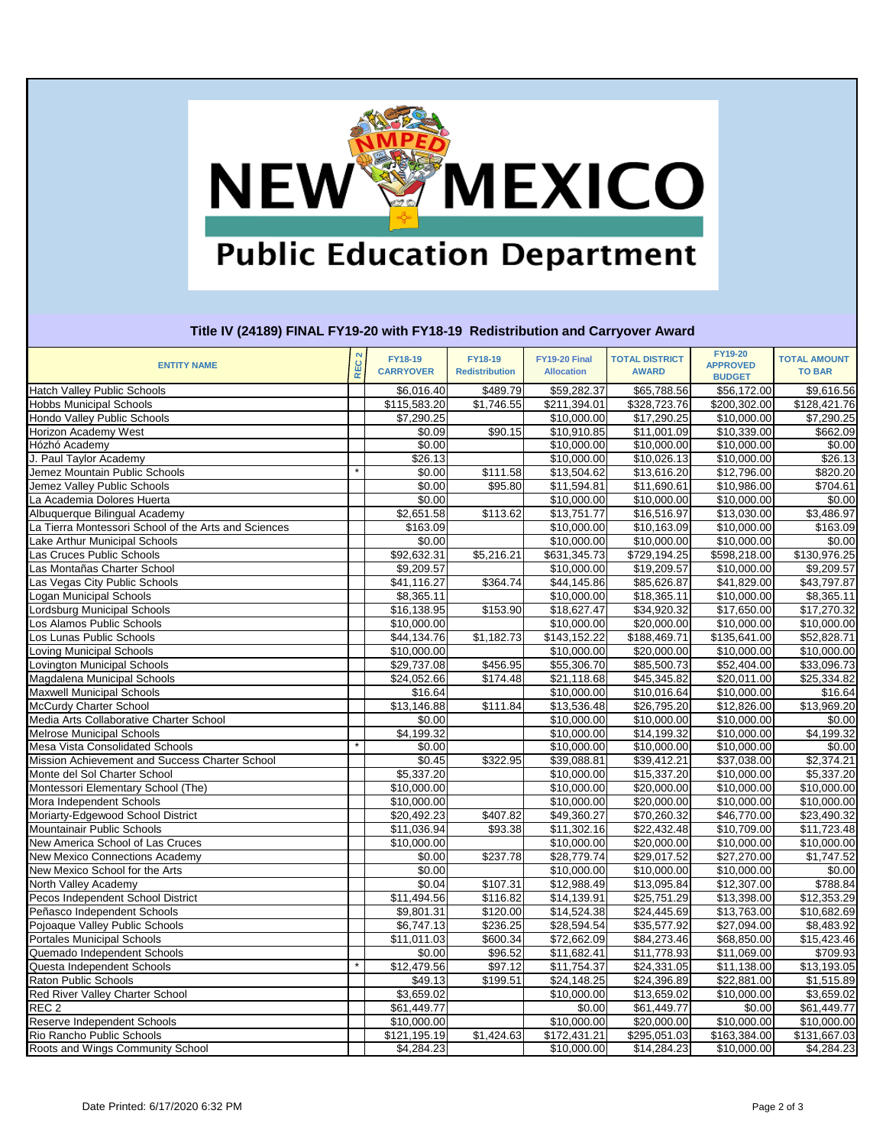# NEWWWEXICO **Public Education Department**

### **Title IV (24189) FINAL FY19-20 with FY18-19 Redistribution and Carryover Award**

| <b>ENTITY NAME</b>                                   | EC <sub>2</sub><br>$\bar{\alpha}$ | <b>FY18-19</b><br><b>CARRYOVER</b> | <b>FY18-19</b><br><b>Redistribution</b> | <b>FY19-20 Final</b><br><b>Allocation</b> | <b>TOTAL DISTRICT</b><br><b>AWARD</b> | <b>FY19-20</b><br><b>APPROVED</b><br><b>BUDGET</b> | <b>TOTAL AMOUNT</b><br><b>TO BAR</b> |
|------------------------------------------------------|-----------------------------------|------------------------------------|-----------------------------------------|-------------------------------------------|---------------------------------------|----------------------------------------------------|--------------------------------------|
| <b>Hatch Valley Public Schools</b>                   |                                   | \$6,016.40                         | \$489.79                                | \$59,282.37                               | \$65,788.56                           | \$56,172.00                                        | \$9,616.56                           |
| <b>Hobbs Municipal Schools</b>                       |                                   | \$115,583.20                       | \$1,746.55                              | \$211,394.01                              | \$328,723.76                          | \$200,302.00                                       | \$128,421.76                         |
| Hondo Valley Public Schools                          |                                   | \$7,290.25                         |                                         | \$10,000.00                               | \$17,290.25                           | \$10,000.00                                        | $\overline{$}7,290.25$               |
| Horizon Academy West                                 |                                   | \$0.09                             | \$90.15                                 | \$10,910.85                               | \$11,001.09                           | \$10,339.00                                        | \$662.09                             |
| Hózhó Academy                                        |                                   | \$0.00                             |                                         | \$10,000.00                               | \$10,000.00                           | \$10,000.00                                        | \$0.00                               |
| J. Paul Taylor Academy                               |                                   | \$26.13                            |                                         | \$10,000.00                               | \$10,026.13                           | \$10,000.00                                        | \$26.13                              |
| Jemez Mountain Public Schools                        |                                   | \$0.00                             | \$111.58                                | \$13,504.62                               | \$13,616.20                           | \$12,796.00                                        | \$820.20                             |
| Jemez Valley Public Schools                          |                                   | \$0.00                             | \$95.80                                 | \$11,594.81                               | \$11,690.61                           | \$10,986.00                                        | \$704.61                             |
| La Academia Dolores Huerta                           |                                   | \$0.00                             |                                         | \$10,000.00                               | \$10,000.00                           | \$10,000.00                                        | \$0.00                               |
| Albuquerque Bilingual Academy                        |                                   | \$2,651.58                         | \$113.62                                | \$13,751.77                               | \$16,516.97                           | \$13,030.00                                        | \$3,486.97                           |
| La Tierra Montessori School of the Arts and Sciences |                                   | \$163.09                           |                                         | \$10,000.00                               | \$10,163.09                           | \$10,000.00                                        | \$163.09                             |
| Lake Arthur Municipal Schools                        |                                   | \$0.00                             |                                         | \$10,000.00                               | \$10,000.00                           | \$10,000.00                                        | \$0.00                               |
| Las Cruces Public Schools                            |                                   | \$92,632.31                        | \$5,216.21                              | \$631,345.73                              | \$729,194.25                          | \$598,218.00                                       | \$130,976.25                         |
| Las Montañas Charter School                          |                                   | \$9,209.57                         |                                         | \$10,000.00                               | \$19,209.57                           | \$10,000.00                                        | \$9,209.57                           |
| Las Vegas City Public Schools                        |                                   | \$41,116.27                        | \$364.74                                | \$44,145.86                               | \$85,626.87                           | \$41,829.00                                        | \$43,797.87                          |
| Logan Municipal Schools                              |                                   | \$8,365.11                         |                                         | \$10,000.00                               | \$18,365.11                           | \$10,000.00                                        | \$8,365.11                           |
| Lordsburg Municipal Schools                          |                                   | \$16,138.95                        | \$153.90                                | \$18,627.47                               | \$34,920.32                           | \$17,650.00                                        | \$17,270.32                          |
| Los Alamos Public Schools                            |                                   | \$10,000.00                        |                                         | \$10,000.00                               | \$20,000.00                           | \$10,000.00                                        | \$10,000.00                          |
| Los Lunas Public Schools                             |                                   | \$44,134.76                        | \$1,182.73                              | \$143,152.22                              | \$188,469.71                          | \$135,641.00                                       | \$52,828.71                          |
| Loving Municipal Schools                             |                                   | \$10,000.00                        |                                         | \$10,000.00                               | \$20,000.00                           | \$10,000.00                                        | \$10,000.00                          |
| Lovington Municipal Schools                          |                                   | \$29,737.08                        | \$456.95                                | \$55,306.70                               | \$85,500.73                           | \$52,404.00                                        | \$33,096.73                          |
| Magdalena Municipal Schools                          |                                   | \$24,052.66                        | \$174.48                                | \$21,118.68                               | \$45,345.82                           | \$20,011.00                                        | \$25,334.82                          |
| <b>Maxwell Municipal Schools</b>                     |                                   | \$16.64                            |                                         | \$10,000.00                               | \$10,016.64                           | \$10,000.00                                        | \$16.64                              |
| McCurdy Charter School                               |                                   | \$13,146.88                        | \$111.84                                | \$13,536.48                               | \$26,795.20                           | \$12,826.00                                        | \$13,969.20                          |
| Media Arts Collaborative Charter School              |                                   | \$0.00                             |                                         | \$10,000.00                               | \$10,000.00                           | \$10,000.00                                        | \$0.00                               |
| <b>Melrose Municipal Schools</b>                     |                                   | \$4,199.32                         |                                         | \$10,000.00                               | \$14,199.32                           | \$10,000.00                                        | \$4,199.32                           |
| Mesa Vista Consolidated Schools                      |                                   | \$0.00                             |                                         | \$10,000.00                               | \$10,000.00                           | \$10,000.00                                        | \$0.00                               |
| Mission Achievement and Success Charter School       |                                   | \$0.45                             | \$322.95                                | \$39,088.81                               | \$39,412.21                           | \$37,038.00                                        | \$2,374.21                           |
| Monte del Sol Charter School                         |                                   | \$5,337.20                         |                                         | \$10,000.00                               | $\overline{$}15,337.20$               | \$10,000.00                                        | \$5,337.20                           |
| Montessori Elementary School (The)                   |                                   | \$10,000.00                        |                                         | \$10,000.00                               | \$20,000.00                           | \$10,000.00                                        | \$10,000.00                          |
| Mora Independent Schools                             |                                   | $\overline{$10,000.00}$            |                                         | \$10,000.00                               | \$20,000.00                           | \$10,000.00                                        | \$10,000.00                          |
| Moriarty-Edgewood School District                    |                                   | \$20,492.23                        | \$407.82                                | \$49,360.27                               | \$70,260.32                           | \$46,770.00                                        | \$23,490.32                          |
| Mountainair Public Schools                           |                                   | \$11,036.94                        | \$93.38                                 | \$11,302.16                               | \$22,432.48                           | \$10,709.00                                        | \$11,723.48                          |
| New America School of Las Cruces                     |                                   | \$10,000.00                        |                                         | \$10,000.00                               | \$20,000.00                           | \$10,000.00                                        | \$10,000.00                          |
| <b>New Mexico Connections Academy</b>                |                                   | \$0.00                             | \$237.78                                | \$28,779.74                               | \$29,017.52                           | \$27,270.00                                        | \$1,747.52                           |
| New Mexico School for the Arts                       |                                   | \$0.00                             |                                         | \$10,000.00                               | \$10,000.00                           | \$10,000.00                                        | \$0.00                               |
| North Valley Academy                                 |                                   | \$0.04                             | \$107.31                                | \$12,988.49                               | \$13,095.84                           | \$12,307.00                                        | \$788.84                             |
| Pecos Independent School District                    |                                   | \$11,494.56                        | \$116.82                                | \$14,139.91                               | \$25,751.29                           | \$13,398.00                                        | \$12,353.29                          |
| Peñasco Independent Schools                          |                                   | \$9,801.31                         | \$120.00                                | \$14,524.38                               | \$24,445.69                           | \$13,763.00                                        | \$10,682.69                          |
| Pojoaque Valley Public Schools                       |                                   | \$6,747.13                         | \$236.25                                | \$28,594.54                               | \$35,577.92                           | \$27,094.00                                        | \$8,483.92                           |
| <b>Portales Municipal Schools</b>                    |                                   | \$11,011.03                        | \$600.34                                | \$72,662.09                               | \$84,273.46                           | \$68,850.00                                        | \$15,423.46                          |
| Quemado Independent Schools                          |                                   | \$0.00                             | \$96.52                                 | \$11,682.41                               | \$11,778.93                           | \$11,069.00                                        | \$709.93                             |
| Questa Independent Schools                           |                                   | \$12,479.56                        | \$97.12                                 | \$11,754.37                               | \$24,331.05                           | \$11,138.00                                        | \$13,193.05                          |
| Raton Public Schools                                 |                                   | \$49.13                            | \$199.51                                | \$24,148.25                               | \$24,396.89                           | \$22,881.00                                        | \$1,515.89                           |
| Red River Valley Charter School                      |                                   | \$3,659.02                         |                                         | \$10,000.00                               | \$13,659.02                           | \$10,000.00                                        | \$3,659.02                           |
| REC <sub>2</sub>                                     |                                   | \$61,449.77                        |                                         | \$0.00                                    | \$61,449.77                           | \$0.00                                             | \$61,449.77                          |
| Reserve Independent Schools                          |                                   | \$10,000.00                        |                                         | \$10,000.00                               | \$20,000.00                           | \$10,000.00                                        | \$10,000.00                          |
| Rio Rancho Public Schools                            |                                   | \$121,195.19                       | \$1,424.63                              | \$172,431.21                              | \$295,051.03                          | \$163,384.00                                       | \$131,667.03                         |
| Roots and Wings Community School                     |                                   | \$4,284.23                         |                                         | \$10,000.00                               | \$14,284.23                           | \$10,000.00                                        | \$4,284.23                           |